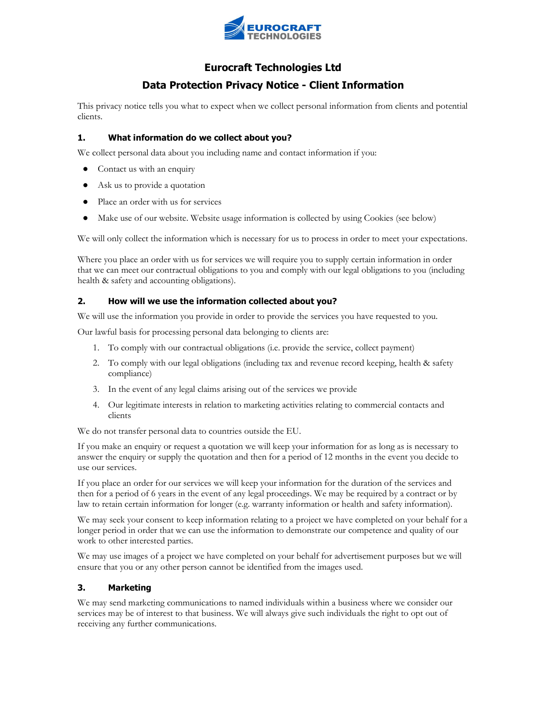

# Eurocraft Technologies Ltd

# Data Protection Privacy Notice - Client Information

This privacy notice tells you what to expect when we collect personal information from clients and potential clients.

## 1. What information do we collect about you?

We collect personal data about you including name and contact information if you:

- Contact us with an enquiry
- Ask us to provide a quotation
- Place an order with us for services
- Make use of our website. Website usage information is collected by using Cookies (see below)

We will only collect the information which is necessary for us to process in order to meet your expectations.

Where you place an order with us for services we will require you to supply certain information in order that we can meet our contractual obligations to you and comply with our legal obligations to you (including health & safety and accounting obligations).

## 2. How will we use the information collected about you?

We will use the information you provide in order to provide the services you have requested to you.

Our lawful basis for processing personal data belonging to clients are:

- 1. To comply with our contractual obligations (i.e. provide the service, collect payment)
- 2. To comply with our legal obligations (including tax and revenue record keeping, health & safety compliance)
- 3. In the event of any legal claims arising out of the services we provide
- 4. Our legitimate interests in relation to marketing activities relating to commercial contacts and clients

We do not transfer personal data to countries outside the EU.

If you make an enquiry or request a quotation we will keep your information for as long as is necessary to answer the enquiry or supply the quotation and then for a period of 12 months in the event you decide to use our services.

If you place an order for our services we will keep your information for the duration of the services and then for a period of 6 years in the event of any legal proceedings. We may be required by a contract or by law to retain certain information for longer (e.g. warranty information or health and safety information).

We may seek your consent to keep information relating to a project we have completed on your behalf for a longer period in order that we can use the information to demonstrate our competence and quality of our work to other interested parties.

We may use images of a project we have completed on your behalf for advertisement purposes but we will ensure that you or any other person cannot be identified from the images used.

## 3. Marketing

We may send marketing communications to named individuals within a business where we consider our services may be of interest to that business. We will always give such individuals the right to opt out of receiving any further communications.